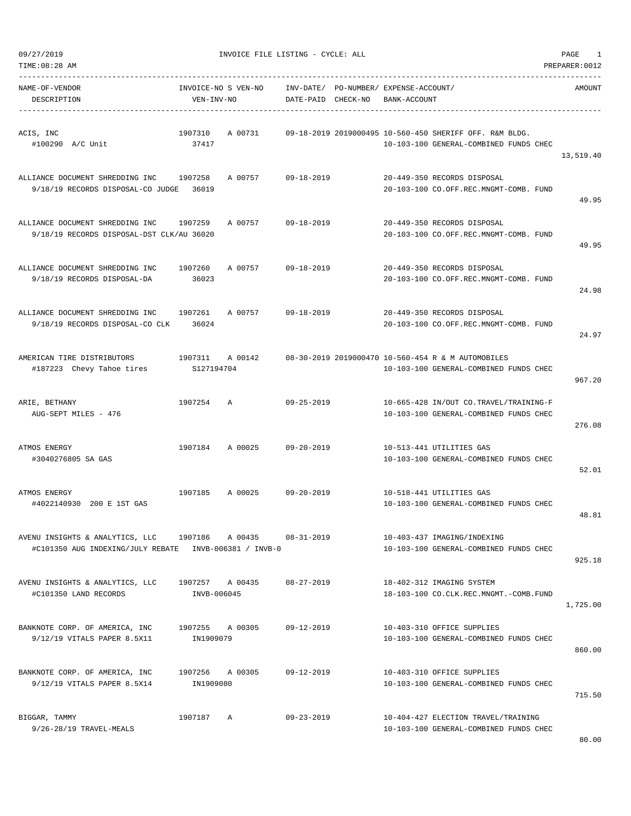| NAME-OF-VENDOR<br>DESCRIPTION                                                             | INVOICE-NO S VEN-NO<br>VEN-INV-NO |         | DATE-PAID CHECK-NO | INV-DATE/ PO-NUMBER/ EXPENSE-ACCOUNT/<br>BANK-ACCOUNT |                                                                                                   | <b>AMOUNT</b> |
|-------------------------------------------------------------------------------------------|-----------------------------------|---------|--------------------|-------------------------------------------------------|---------------------------------------------------------------------------------------------------|---------------|
| ACIS, INC<br>#100290 A/C Unit                                                             | 1907310<br>37417                  | A 00731 |                    |                                                       | 09-18-2019 2019000495 10-560-450 SHERIFF OFF. R&M BLDG.<br>10-103-100 GENERAL-COMBINED FUNDS CHEC | 13,519.40     |
| ALLIANCE DOCUMENT SHREDDING INC<br>9/18/19 RECORDS DISPOSAL-CO JUDGE                      | 1907258<br>36019                  | A 00757 | 09-18-2019         |                                                       | 20-449-350 RECORDS DISPOSAL<br>20-103-100 CO.OFF.REC.MNGMT-COMB. FUND                             | 49.95         |
| ALLIANCE DOCUMENT SHREDDING INC<br>9/18/19 RECORDS DISPOSAL-DST CLK/AU 36020              | 1907259                           | A 00757 | $09 - 18 - 2019$   |                                                       | 20-449-350 RECORDS DISPOSAL<br>20-103-100 CO.OFF.REC.MNGMT-COMB. FUND                             | 49.95         |
| ALLIANCE DOCUMENT SHREDDING INC<br>9/18/19 RECORDS DISPOSAL-DA                            | 1907260<br>36023                  | A 00757 | 09-18-2019         |                                                       | 20-449-350 RECORDS DISPOSAL<br>20-103-100 CO.OFF.REC.MNGMT-COMB. FUND                             | 24.98         |
| ALLIANCE DOCUMENT SHREDDING INC<br>9/18/19 RECORDS DISPOSAL-CO CLK                        | 1907261<br>36024                  | A 00757 | 09-18-2019         |                                                       | 20-449-350 RECORDS DISPOSAL<br>20-103-100 CO.OFF.REC.MNGMT-COMB. FUND                             | 24.97         |
| AMERICAN TIRE DISTRIBUTORS<br>#187223 Chevy Tahoe tires                                   | 1907311<br>S127194704             | A 00142 |                    |                                                       | 08-30-2019 2019000470 10-560-454 R & M AUTOMOBILES<br>10-103-100 GENERAL-COMBINED FUNDS CHEC      | 967.20        |
| ARIE, BETHANY<br>AUG-SEPT MILES - 476                                                     | 1907254                           | A       | 09-25-2019         |                                                       | 10-665-428 IN/OUT CO.TRAVEL/TRAINING-F<br>10-103-100 GENERAL-COMBINED FUNDS CHEC                  | 276.08        |
| ATMOS ENERGY<br>#3040276805 SA GAS                                                        | 1907184                           | A 00025 | 09-20-2019         |                                                       | 10-513-441 UTILITIES GAS<br>10-103-100 GENERAL-COMBINED FUNDS CHEC                                | 52.01         |
| ATMOS ENERGY<br>#4022140930 200 E 1ST GAS                                                 | 1907185                           | A 00025 | 09-20-2019         |                                                       | 10-518-441 UTILITIES GAS<br>10-103-100 GENERAL-COMBINED FUNDS CHEC                                | 48.81         |
| AVENU INSIGHTS & ANALYTICS, LLC<br>#C101350 AUG INDEXING/JULY REBATE INVB-006381 / INVB-0 | 1907186                           | A 00435 | $08 - 31 - 2019$   |                                                       | 10-403-437 IMAGING/INDEXING<br>10-103-100 GENERAL-COMBINED FUNDS CHEC                             | 925.18        |
| AVENU INSIGHTS & ANALYTICS, LLC<br>#C101350 LAND RECORDS                                  | 1907257 A 00435<br>INVB-006045    |         | $08 - 27 - 2019$   |                                                       | 18-402-312 IMAGING SYSTEM<br>18-103-100 CO.CLK.REC.MNGMT.-COMB.FUND                               | 1,725.00      |
| BANKNOTE CORP. OF AMERICA, INC<br>9/12/19 VITALS PAPER 8.5X11                             | 1907255 A 00305<br>IN1909079      |         | $09 - 12 - 2019$   |                                                       | 10-403-310 OFFICE SUPPLIES<br>10-103-100 GENERAL-COMBINED FUNDS CHEC                              | 860.00        |
| BANKNOTE CORP. OF AMERICA, INC<br>9/12/19 VITALS PAPER 8.5X14                             | 1907256<br>IN1909080              | A 00305 | $09 - 12 - 2019$   |                                                       | 10-403-310 OFFICE SUPPLIES<br>10-103-100 GENERAL-COMBINED FUNDS CHEC                              | 715.50        |
| BIGGAR, TAMMY<br>9/26-28/19 TRAVEL-MEALS                                                  | 1907187                           | A       | $09 - 23 - 2019$   |                                                       | 10-404-427 ELECTION TRAVEL/TRAINING<br>10-103-100 GENERAL-COMBINED FUNDS CHEC                     |               |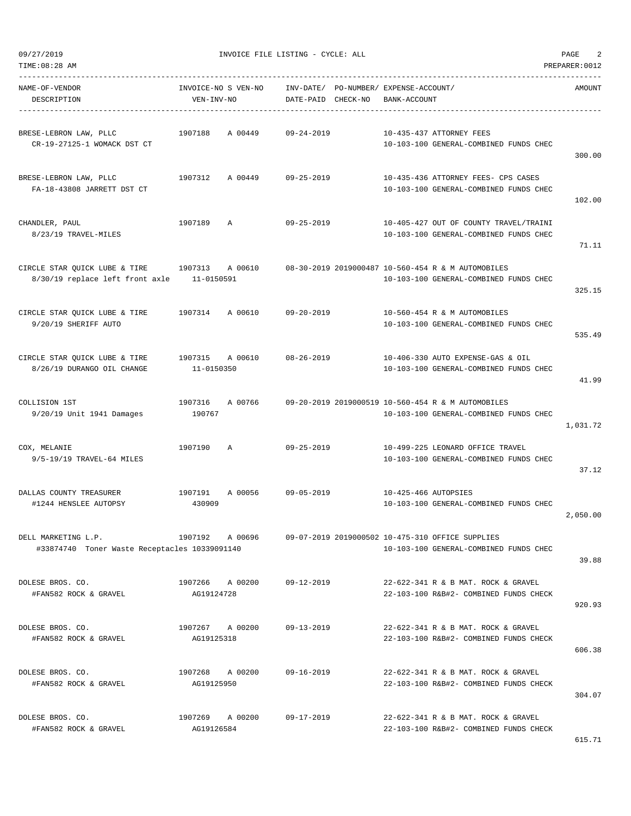| TIME: 08:28 AM                                                              |                                   |         |                    |                                                       |                                                                                              | PREPARER: 0012 |
|-----------------------------------------------------------------------------|-----------------------------------|---------|--------------------|-------------------------------------------------------|----------------------------------------------------------------------------------------------|----------------|
| NAME-OF-VENDOR<br>DESCRIPTION                                               | INVOICE-NO S VEN-NO<br>VEN-INV-NO |         | DATE-PAID CHECK-NO | INV-DATE/ PO-NUMBER/ EXPENSE-ACCOUNT/<br>BANK-ACCOUNT |                                                                                              | AMOUNT         |
| BRESE-LEBRON LAW, PLLC<br>CR-19-27125-1 WOMACK DST CT                       | 1907188                           | A 00449 | $09 - 24 - 2019$   |                                                       | 10-435-437 ATTORNEY FEES<br>10-103-100 GENERAL-COMBINED FUNDS CHEC                           | 300.00         |
| BRESE-LEBRON LAW, PLLC<br>FA-18-43808 JARRETT DST CT                        | 1907312                           | A 00449 | 09-25-2019         |                                                       | 10-435-436 ATTORNEY FEES- CPS CASES<br>10-103-100 GENERAL-COMBINED FUNDS CHEC                | 102.00         |
| CHANDLER, PAUL<br>8/23/19 TRAVEL-MILES                                      | 1907189                           | Α       | $09 - 25 - 2019$   |                                                       | 10-405-427 OUT OF COUNTY TRAVEL/TRAINI<br>10-103-100 GENERAL-COMBINED FUNDS CHEC             | 71.11          |
| CIRCLE STAR QUICK LUBE & TIRE<br>8/30/19 replace left front axle 11-0150591 | 1907313 A 00610                   |         |                    |                                                       | 08-30-2019 2019000487 10-560-454 R & M AUTOMOBILES<br>10-103-100 GENERAL-COMBINED FUNDS CHEC | 325.15         |
| CIRCLE STAR QUICK LUBE & TIRE<br>9/20/19 SHERIFF AUTO                       | 1907314                           | A 00610 | $09 - 20 - 2019$   |                                                       | 10-560-454 R & M AUTOMOBILES<br>10-103-100 GENERAL-COMBINED FUNDS CHEC                       | 535.49         |
| CIRCLE STAR QUICK LUBE & TIRE<br>8/26/19 DURANGO OIL CHANGE                 | 1907315 A 00610<br>11-0150350     |         | 08-26-2019         |                                                       | 10-406-330 AUTO EXPENSE-GAS & OIL<br>10-103-100 GENERAL-COMBINED FUNDS CHEC                  | 41.99          |
| COLLISION 1ST<br>9/20/19 Unit 1941 Damages                                  | 1907316<br>190767                 | A 00766 |                    |                                                       | 09-20-2019 2019000519 10-560-454 R & M AUTOMOBILES<br>10-103-100 GENERAL-COMBINED FUNDS CHEC | 1,031.72       |
| COX, MELANIE<br>9/5-19/19 TRAVEL-64 MILES                                   | 1907190                           | Α       | $09 - 25 - 2019$   |                                                       | 10-499-225 LEONARD OFFICE TRAVEL<br>10-103-100 GENERAL-COMBINED FUNDS CHEC                   | 37.12          |
| DALLAS COUNTY TREASURER<br>#1244 HENSLEE AUTOPSY                            | 1907191<br>430909                 | A 00056 | 09-05-2019         | 10-425-466 AUTOPSIES                                  | 10-103-100 GENERAL-COMBINED FUNDS CHEC                                                       | 2,050.00       |
| DELL MARKETING L.P.<br>#33874740 Toner Waste Receptacles 10339091140        | 1907192 A 00696                   |         |                    |                                                       | 09-07-2019 2019000502 10-475-310 OFFICE SUPPLIES<br>10-103-100 GENERAL-COMBINED FUNDS CHEC   | 39.88          |
| DOLESE BROS. CO.<br>#FAN582 ROCK & GRAVEL                                   | 1907266 A 00200<br>AG19124728     |         | 09-12-2019         |                                                       | 22-622-341 R & B MAT. ROCK & GRAVEL<br>22-103-100 R&B#2- COMBINED FUNDS CHECK                | 920.93         |
| DOLESE BROS. CO.<br>#FAN582 ROCK & GRAVEL                                   | 1907267 A 00200<br>AG19125318     |         | $09 - 13 - 2019$   |                                                       | 22-622-341 R & B MAT. ROCK & GRAVEL<br>22-103-100 R&B#2- COMBINED FUNDS CHECK                | 606.38         |
| DOLESE BROS. CO.<br>#FAN582 ROCK & GRAVEL                                   | 1907268 A 00200<br>AG19125950     |         | 09-16-2019         |                                                       | 22-622-341 R & B MAT. ROCK & GRAVEL<br>22-103-100 R&B#2- COMBINED FUNDS CHECK                | 304.07         |
| DOLESE BROS. CO.<br>#FAN582 ROCK & GRAVEL                                   | 1907269 A 00200<br>AG19126584     |         | 09-17-2019         |                                                       | 22-622-341 R & B MAT. ROCK & GRAVEL<br>22-103-100 R&B#2- COMBINED FUNDS CHECK                |                |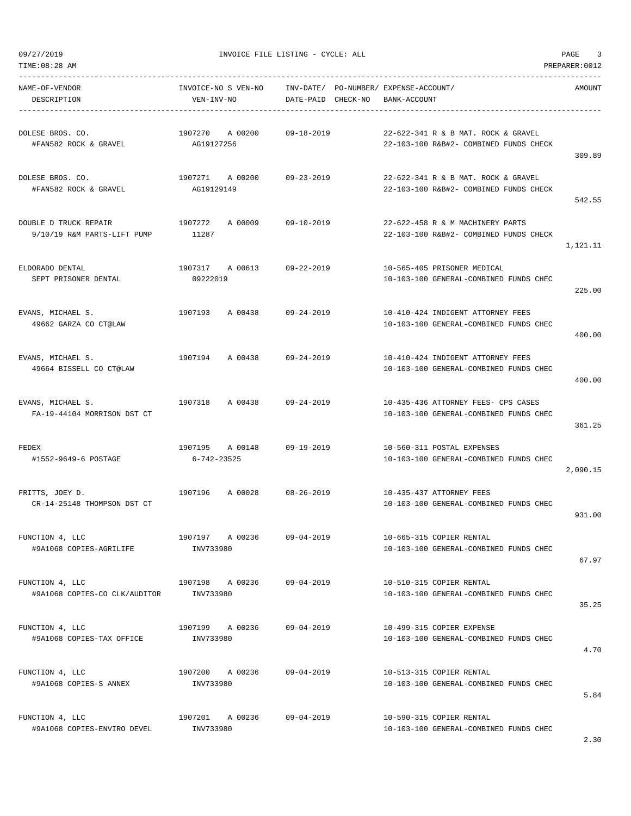| NAME-OF-VENDOR<br>DESCRIPTION                              | VEN-INV-NO                               | INVOICE-NO S VEN-NO    INV-DATE/ PO-NUMBER/ EXPENSE-ACCOUNT/<br>DATE-PAID CHECK-NO | BANK-ACCOUNT                                                                  | AMOUNT   |
|------------------------------------------------------------|------------------------------------------|------------------------------------------------------------------------------------|-------------------------------------------------------------------------------|----------|
|                                                            |                                          |                                                                                    |                                                                               |          |
| DOLESE BROS. CO.<br>#FAN582 ROCK & GRAVEL                  | 1907270 A 00200<br>AG19127256            | 09-18-2019                                                                         | 22-622-341 R & B MAT. ROCK & GRAVEL<br>22-103-100 R&B#2- COMBINED FUNDS CHECK | 309.89   |
| DOLESE BROS. CO.<br>#FAN582 ROCK & GRAVEL                  | 1907271 A 00200 09-23-2019<br>AG19129149 |                                                                                    | 22-622-341 R & B MAT. ROCK & GRAVEL<br>22-103-100 R&B#2- COMBINED FUNDS CHECK | 542.55   |
| DOUBLE D TRUCK REPAIR<br>9/10/19 R&M PARTS-LIFT PUMP 11287 | 1907272 A 00009 09-10-2019               |                                                                                    | 22-622-458 R & M MACHINERY PARTS<br>22-103-100 R&B#2- COMBINED FUNDS CHECK    | 1,121.11 |
| ELDORADO DENTAL<br>SEPT PRISONER DENTAL                    | 1907317 A 00613<br>09222019              | 09-22-2019                                                                         | 10-565-405 PRISONER MEDICAL<br>10-103-100 GENERAL-COMBINED FUNDS CHEC         | 225.00   |
| EVANS, MICHAEL S.<br>49662 GARZA CO CT@LAW                 | 1907193 A 00438 09-24-2019               |                                                                                    | 10-410-424 INDIGENT ATTORNEY FEES<br>10-103-100 GENERAL-COMBINED FUNDS CHEC   | 400.00   |
| EVANS, MICHAEL S.<br>49664 BISSELL CO CT@LAW               | 1907194 A 00438 09-24-2019               |                                                                                    | 10-410-424 INDIGENT ATTORNEY FEES<br>10-103-100 GENERAL-COMBINED FUNDS CHEC   | 400.00   |
| EVANS, MICHAEL S.<br>FA-19-44104 MORRISON DST CT           | 1907318 A 00438                          | $09 - 24 - 2019$                                                                   | 10-435-436 ATTORNEY FEES- CPS CASES<br>10-103-100 GENERAL-COMBINED FUNDS CHEC | 361.25   |
| FEDEX<br>#1552-9649-6 POSTAGE                              | 1907195 A 00148<br>6-742-23525           | 09-19-2019                                                                         | 10-560-311 POSTAL EXPENSES<br>10-103-100 GENERAL-COMBINED FUNDS CHEC          | 2,090.15 |
| FRITTS, JOEY D.<br>CR-14-25148 THOMPSON DST CT             | 1907196 A 00028 08-26-2019               |                                                                                    | 10-435-437 ATTORNEY FEES<br>10-103-100 GENERAL-COMBINED FUNDS CHEC            | 931.00   |
| FUNCTION 4, LLC<br>#9A1068 COPIES-AGRILIFE                 | 1907197 A 00236<br>INV733980             | $09 - 04 - 2019$                                                                   | 10-665-315 COPIER RENTAL<br>10-103-100 GENERAL-COMBINED FUNDS CHEC            | 67.97    |
| FUNCTION 4, LLC<br>#9A1068 COPIES-CO CLK/AUDITOR INV733980 | 1907198 A 00236                          | 09-04-2019                                                                         | 10-510-315 COPIER RENTAL<br>10-103-100 GENERAL-COMBINED FUNDS CHEC            | 35.25    |
| FUNCTION 4, LLC<br>#9A1068 COPIES-TAX OFFICE               | 1907199 A 00236<br>INV733980             | $09 - 04 - 2019$                                                                   | 10-499-315 COPIER EXPENSE<br>10-103-100 GENERAL-COMBINED FUNDS CHEC           | 4.70     |
| FUNCTION 4, LLC<br>#9A1068 COPIES-S ANNEX                  | 1907200 A 00236<br>INV733980             | 09-04-2019                                                                         | 10-513-315 COPIER RENTAL<br>10-103-100 GENERAL-COMBINED FUNDS CHEC            | 5.84     |
| FUNCTION 4, LLC<br>#9A1068 COPIES-ENVIRO DEVEL             | 1907201 A 00236 09-04-2019<br>INV733980  |                                                                                    | 10-590-315 COPIER RENTAL<br>10-103-100 GENERAL-COMBINED FUNDS CHEC            |          |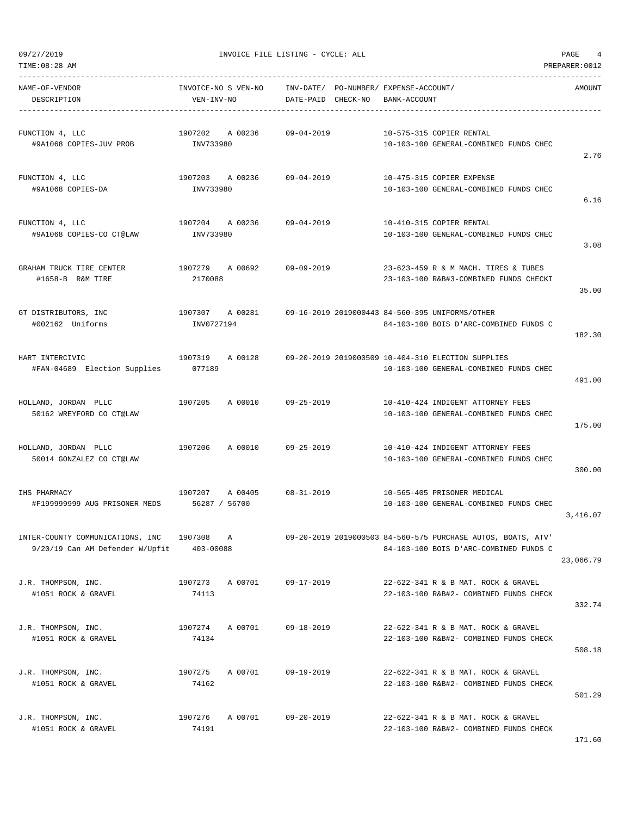| NAME-OF-VENDOR<br>DESCRIPTION                                       | INVOICE-NO S VEN-NO<br>VEN-INV-NO       |         | INV-DATE/ PO-NUMBER/ EXPENSE-ACCOUNT/<br>DATE-PAID CHECK-NO | BANK-ACCOUNT |                                                                                                        | AMOUNT    |
|---------------------------------------------------------------------|-----------------------------------------|---------|-------------------------------------------------------------|--------------|--------------------------------------------------------------------------------------------------------|-----------|
| FUNCTION 4, LLC<br>#9A1068 COPIES-JUV PROB                          | 1907202 A 00236<br>INV733980            |         | 09-04-2019                                                  |              | 10-575-315 COPIER RENTAL<br>10-103-100 GENERAL-COMBINED FUNDS CHEC                                     | 2.76      |
| FUNCTION 4, LLC<br>#9A1068 COPIES-DA                                | 1907203 A 00236 09-04-2019<br>INV733980 |         |                                                             |              | 10-475-315 COPIER EXPENSE<br>10-103-100 GENERAL-COMBINED FUNDS CHEC                                    | 6.16      |
| FUNCTION 4, LLC<br>#9A1068 COPIES-CO CT@LAW                         | 1907204 A 00236 09-04-2019<br>INV733980 |         |                                                             |              | 10-410-315 COPIER RENTAL<br>10-103-100 GENERAL-COMBINED FUNDS CHEC                                     | 3.08      |
| GRAHAM TRUCK TIRE CENTER<br>#1658-B R&M TIRE                        | 1907279 A 00692<br>2170088              |         | 09-09-2019                                                  |              | 23-623-459 R & M MACH. TIRES & TUBES<br>23-103-100 R&B#3-COMBINED FUNDS CHECKI                         | 35.00     |
| GT DISTRIBUTORS, INC<br>#002162 Uniforms                            | 1907307 A 00281<br>INV0727194           |         |                                                             |              | 09-16-2019 2019000443 84-560-395 UNIFORMS/OTHER<br>84-103-100 BOIS D'ARC-COMBINED FUNDS C              | 182.30    |
| HART INTERCIVIC<br>#FAN-04689 Election Supplies 077189              | 1907319 A 00128                         |         |                                                             |              | 09-20-2019 2019000509 10-404-310 ELECTION SUPPLIES<br>10-103-100 GENERAL-COMBINED FUNDS CHEC           | 491.00    |
| HOLLAND, JORDAN PLLC<br>50162 WREYFORD CO CT@LAW                    | 1907205 A 00010 09-25-2019              |         |                                                             |              | 10-410-424 INDIGENT ATTORNEY FEES<br>10-103-100 GENERAL-COMBINED FUNDS CHEC                            | 175.00    |
| HOLLAND, JORDAN PLLC<br>50014 GONZALEZ CO CT@LAW                    | 1907206 A 00010                         |         | 09-25-2019                                                  |              | 10-410-424 INDIGENT ATTORNEY FEES<br>10-103-100 GENERAL-COMBINED FUNDS CHEC                            | 300.00    |
| IHS PHARMACY<br>#F199999999 AUG PRISONER MEDS 56287 / 56700         | 1907207 A 00405                         |         | 08-31-2019                                                  |              | 10-565-405 PRISONER MEDICAL<br>10-103-100 GENERAL-COMBINED FUNDS CHEC                                  | 3,416.07  |
| INTER-COUNTY COMMUNICATIONS, INC<br>9/20/19 Can AM Defender W/Upfit | 1907308<br>Α<br>403-00088               |         |                                                             |              | 09-20-2019 2019000503 84-560-575 PURCHASE AUTOS, BOATS, ATV'<br>84-103-100 BOIS D'ARC-COMBINED FUNDS C | 23,066.79 |
| J.R. THOMPSON, INC.<br>#1051 ROCK & GRAVEL                          | 1907273<br>74113                        | A 00701 | $09 - 17 - 2019$                                            |              | 22-622-341 R & B MAT. ROCK & GRAVEL<br>22-103-100 R&B#2- COMBINED FUNDS CHECK                          | 332.74    |
| J.R. THOMPSON, INC.<br>#1051 ROCK & GRAVEL                          | 1907274<br>74134                        | A 00701 | $09 - 18 - 2019$                                            |              | 22-622-341 R & B MAT. ROCK & GRAVEL<br>22-103-100 R&B#2- COMBINED FUNDS CHECK                          | 508.18    |
| J.R. THOMPSON, INC.<br>#1051 ROCK & GRAVEL                          | 1907275<br>74162                        | A 00701 | 09-19-2019                                                  |              | 22-622-341 R & B MAT. ROCK & GRAVEL<br>22-103-100 R&B#2- COMBINED FUNDS CHECK                          | 501.29    |
| J.R. THOMPSON, INC.<br>#1051 ROCK & GRAVEL                          | 1907276<br>74191                        | A 00701 | $09 - 20 - 2019$                                            |              | 22-622-341 R & B MAT. ROCK & GRAVEL<br>22-103-100 R&B#2- COMBINED FUNDS CHECK                          |           |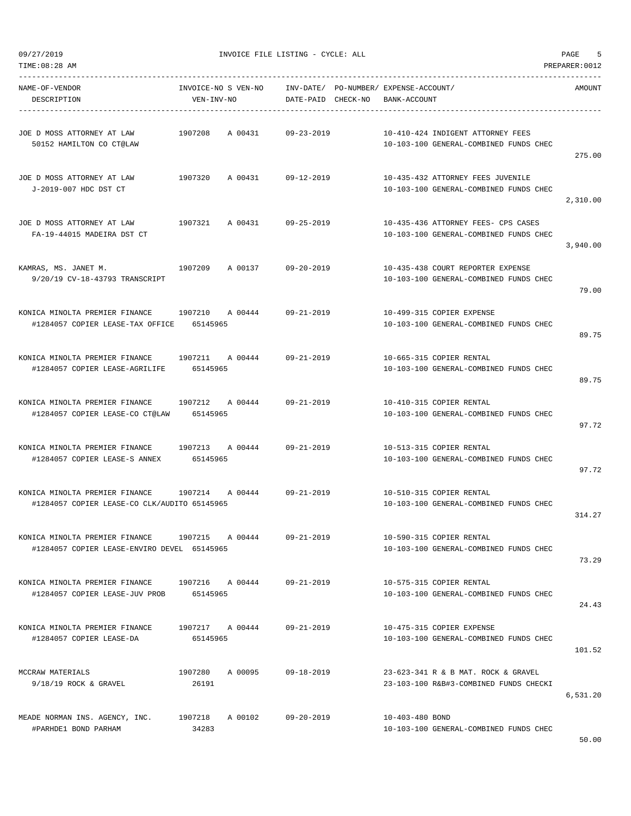09/27/2019 INVOICE FILE LISTING - CYCLE: ALL PAGE 5

| NAME-OF-VENDOR<br>DESCRIPTION                                                                                                   | INVOICE-NO S VEN-NO INV-DATE/ PO-NUMBER/ EXPENSE-ACCOUNT/<br>VEN-INV-NO | DATE-PAID CHECK-NO BANK-ACCOUNT |                                                                               | AMOUNT   |
|---------------------------------------------------------------------------------------------------------------------------------|-------------------------------------------------------------------------|---------------------------------|-------------------------------------------------------------------------------|----------|
| JOE D MOSS ATTORNEY AT LAW       1907208   A 00431     09-23-2019<br>50152 HAMILTON CO CT@LAW                                   |                                                                         |                                 | 10-410-424 INDIGENT ATTORNEY FEES<br>10-103-100 GENERAL-COMBINED FUNDS CHEC   | 275.00   |
| JOE D MOSS ATTORNEY AT LAW<br>J-2019-007 HDC DST CT                                                                             | 1907320 A 00431 09-12-2019                                              |                                 | 10-435-432 ATTORNEY FEES JUVENILE<br>10-103-100 GENERAL-COMBINED FUNDS CHEC   | 2,310.00 |
| FA-19-44015 MADEIRA DST CT                                                                                                      |                                                                         |                                 | 10-435-436 ATTORNEY FEES- CPS CASES<br>10-103-100 GENERAL-COMBINED FUNDS CHEC | 3,940.00 |
| KAMRAS, MS. JANET M.<br>9/20/19 CV-18-43793 TRANSCRIPT                                                                          | 1907209 A 00137 09-20-2019                                              |                                 | 10-435-438 COURT REPORTER EXPENSE<br>10-103-100 GENERAL-COMBINED FUNDS CHEC   | 79.00    |
| KONICA MINOLTA PREMIER FINANCE         1907210      A 00444         09-21-2019<br>#1284057 COPIER LEASE-TAX OFFICE 65145965     |                                                                         |                                 | 10-499-315 COPIER EXPENSE<br>10-103-100 GENERAL-COMBINED FUNDS CHEC           | 89.75    |
| #1284057 COPIER LEASE-AGRILIFE 65145965                                                                                         |                                                                         |                                 | 10-665-315 COPIER RENTAL<br>10-103-100 GENERAL-COMBINED FUNDS CHEC            | 89.75    |
| KONICA MINOLTA PREMIER FINANCE         1907212      A 00444         09-21-2019<br>#1284057 COPIER LEASE-CO CT@LAW 65145965      |                                                                         |                                 | 10-410-315 COPIER RENTAL<br>10-103-100 GENERAL-COMBINED FUNDS CHEC            | 97.72    |
| KONICA MINOLTA PREMIER FINANCE 1907213 A 00444 09-21-2019<br>#1284057 COPIER LEASE-S ANNEX 65145965                             |                                                                         |                                 | 10-513-315 COPIER RENTAL<br>10-103-100 GENERAL-COMBINED FUNDS CHEC            | 97.72    |
| KONICA MINOLTA PREMIER FINANCE         1907214       A 00444         09-21-2019<br>#1284057 COPIER LEASE-CO CLK/AUDITO 65145965 |                                                                         |                                 | 10-510-315 COPIER RENTAL<br>10-103-100 GENERAL-COMBINED FUNDS CHEC            | 314.27   |
| KONICA MINOLTA PREMIER FINANCE<br>#1284057 COPIER LEASE-ENVIRO DEVEL 65145965                                                   | 1907215 A 00444                                                         | 09-21-2019                      | 10-590-315 COPIER RENTAL<br>10-103-100 GENERAL-COMBINED FUNDS CHEC            | 73.29    |
| KONICA MINOLTA PREMIER FINANCE 1907216 A 00444 09-21-2019<br>#1284057 COPIER LEASE-JUV PROB                                     | 65145965                                                                |                                 | 10-575-315 COPIER RENTAL<br>10-103-100 GENERAL-COMBINED FUNDS CHEC            | 24.43    |
| KONICA MINOLTA PREMIER FINANCE<br>#1284057 COPIER LEASE-DA                                                                      | 1907217 A 00444<br>65145965                                             | $09 - 21 - 2019$                | 10-475-315 COPIER EXPENSE<br>10-103-100 GENERAL-COMBINED FUNDS CHEC           | 101.52   |
| MCCRAW MATERIALS<br>$9/18/19$ ROCK & GRAVEL                                                                                     | A 00095<br>1907280<br>26191                                             | 09-18-2019                      | 23-623-341 R & B MAT. ROCK & GRAVEL<br>23-103-100 R&B#3-COMBINED FUNDS CHECKI | 6,531.20 |
| MEADE NORMAN INS. AGENCY, INC.<br>#PARHDE1 BOND PARHAM                                                                          | 1907218<br>A 00102<br>34283                                             | 09-20-2019                      | 10-403-480 BOND<br>10-103-100 GENERAL-COMBINED FUNDS CHEC                     |          |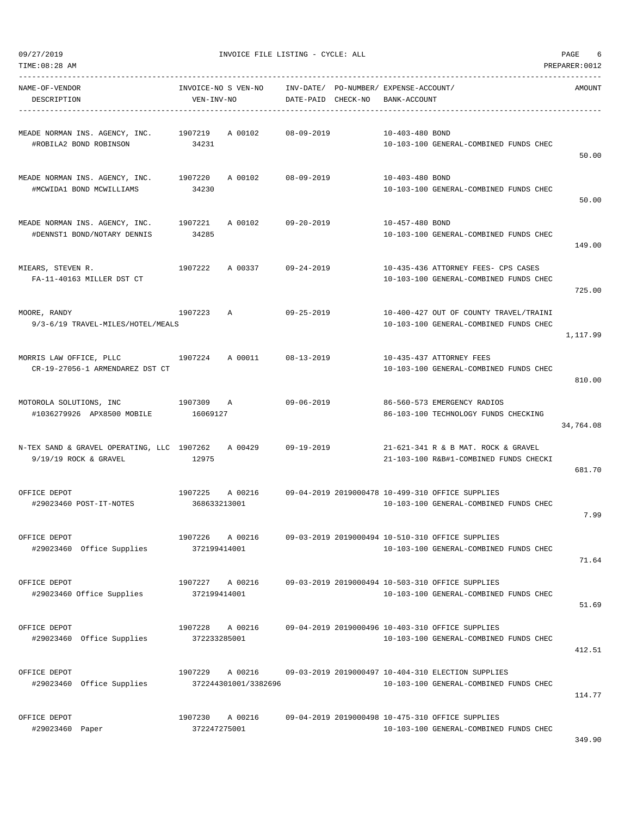|  | 09/27/2019 |  |
|--|------------|--|
|  |            |  |

INVOICE FILE LISTING - CYCLE: ALL PAGE 6

DESCRIPTION VEN-INV-NO DATE-PAID CHECK-NO BANK-ACCOUNT

----------------------------------------------------------------------------------------------------------------------------------- NAME-OF-VENDOR INVOICE-NO S VEN-NO INV-DATE/ PO-NUMBER/ EXPENSE-ACCOUNT/ AMOUNT

TIME:08:28 AM PREPARER:0012

| MEADE NORMAN INS. AGENCY, INC. 1907219 A 00102 08-09-2019<br>#ROBILA2 BOND ROBINSON                                                             | 34231                |                            | 10-403-480 BOND                                                    | 10-103-100 GENERAL-COMBINED FUNDS CHEC                                           | 50.00     |
|-------------------------------------------------------------------------------------------------------------------------------------------------|----------------------|----------------------------|--------------------------------------------------------------------|----------------------------------------------------------------------------------|-----------|
| MEADE NORMAN INS. AGENCY, INC. 1907220<br>#MCWIDA1 BOND MCWILLIAMS                                                                              | 34230                |                            | A 00102 08-09-2019 10-403-480 BOND                                 | 10-103-100 GENERAL-COMBINED FUNDS CHEC                                           | 50.00     |
| MEADE NORMAN INS. AGENCY, INC. 1907221 A 00102 09-20-2019<br>#DENNST1 BOND/NOTARY DENNIS                                                        | 34285                |                            | 10-457-480 BOND                                                    | 10-103-100 GENERAL-COMBINED FUNDS CHEC                                           | 149.00    |
| MIEARS, STEVEN R.<br>FA-11-40163 MILLER DST CT                                                                                                  |                      | 1907222 A 00337 09-24-2019 |                                                                    | 10-435-436 ATTORNEY FEES- CPS CASES<br>10-103-100 GENERAL-COMBINED FUNDS CHEC    | 725.00    |
| MOORE, RANDY<br>9/3-6/19 TRAVEL-MILES/HOTEL/MEALS                                                                                               | 1907223 A            | $09 - 25 - 2019$           |                                                                    | 10-400-427 OUT OF COUNTY TRAVEL/TRAINI<br>10-103-100 GENERAL-COMBINED FUNDS CHEC | 1,117.99  |
| MORRIS LAW OFFICE, PLLC                1907224    A 00011     08-13-2019            10-435-437 ATTORNEY FEES<br>CR-19-27056-1 ARMENDAREZ DST CT |                      |                            |                                                                    | 10-103-100 GENERAL-COMBINED FUNDS CHEC                                           | 810.00    |
| MOTOROLA SOLUTIONS, INC 1907309 A<br>#1036279926 APX8500 MOBILE 16069127                                                                        |                      | 09-06-2019                 |                                                                    | 86-560-573 EMERGENCY RADIOS<br>86-103-100 TECHNOLOGY FUNDS CHECKING              | 34,764.08 |
| N-TEX SAND & GRAVEL OPERATING, LLC 1907262 A 00429 09-19-2019<br>$9/19/19$ ROCK & GRAVEL                                                        | 12975                |                            |                                                                    | 21-621-341 R & B MAT. ROCK & GRAVEL<br>21-103-100 R&B#1-COMBINED FUNDS CHECKI    | 681.70    |
| OFFICE DEPOT<br>#29023460 POST-IT-NOTES                                                                                                         | 368633213001         |                            | 1907225 A 00216 09-04-2019 2019000478 10-499-310 OFFICE SUPPLIES   | 10-103-100 GENERAL-COMBINED FUNDS CHEC                                           | 7.99      |
| OFFICE DEPOT<br>#29023460 Office Supplies 372199414001                                                                                          |                      |                            | 1907226 A 00216 09-03-2019 2019000494 10-510-310 OFFICE SUPPLIES   | 10-103-100 GENERAL-COMBINED FUNDS CHEC                                           | 71.64     |
| OFFICE DEPOT<br>#29023460 Office Supplies                                                                                                       | 372199414001         |                            | 1907227 A 00216 09-03-2019 2019000494 10-503-310 OFFICE SUPPLIES   | 10-103-100 GENERAL-COMBINED FUNDS CHEC                                           | 51.69     |
| OFFICE DEPOT<br>#29023460 Office Supplies                                                                                                       | 372233285001         |                            | 1907228 A 00216 09-04-2019 2019000496 10-403-310 OFFICE SUPPLIES   | 10-103-100 GENERAL-COMBINED FUNDS CHEC                                           | 412.51    |
| OFFICE DEPOT<br>#29023460 Office Supplies                                                                                                       | 372244301001/3382696 |                            | 1907229 A 00216 09-03-2019 2019000497 10-404-310 ELECTION SUPPLIES | 10-103-100 GENERAL-COMBINED FUNDS CHEC                                           | 114.77    |
| OFFICE DEPOT<br>#29023460 Paper                                                                                                                 | 372247275001         |                            | 1907230 A 00216 09-04-2019 2019000498 10-475-310 OFFICE SUPPLIES   | 10-103-100 GENERAL-COMBINED FUNDS CHEC                                           | 349.90    |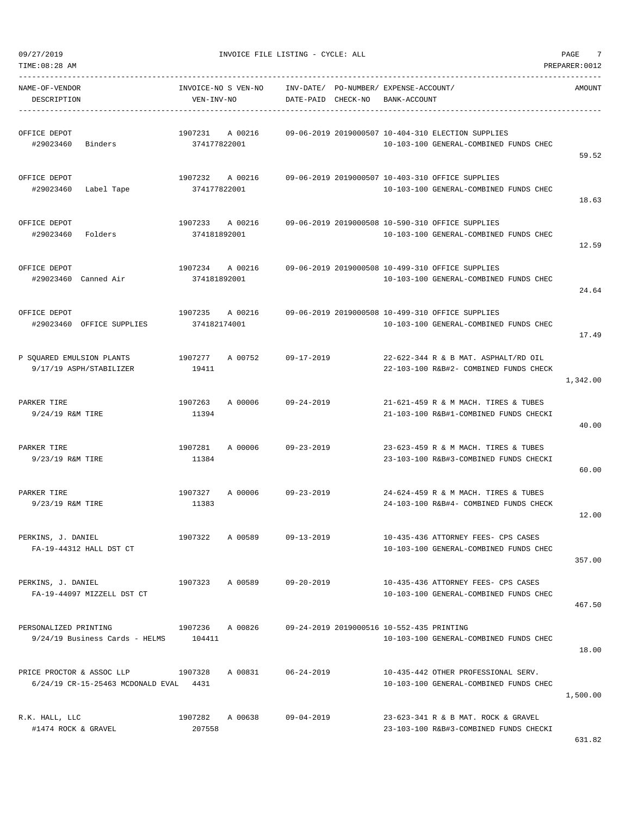| 09/27/2019                                                          | INVOICE FILE LISTING - CYCLE: ALL |         | 7<br>PAGE                       |                                           |                                             |                                                                                              |                |
|---------------------------------------------------------------------|-----------------------------------|---------|---------------------------------|-------------------------------------------|---------------------------------------------|----------------------------------------------------------------------------------------------|----------------|
| TIME: 08:28 AM                                                      |                                   |         |                                 |                                           |                                             |                                                                                              | PREPARER: 0012 |
| NAME-OF-VENDOR<br>DESCRIPTION                                       | INVOICE-NO S VEN-NO<br>VEN-INV-NO |         | INV-DATE/<br>DATE-PAID CHECK-NO |                                           | PO-NUMBER/ EXPENSE-ACCOUNT/<br>BANK-ACCOUNT |                                                                                              | AMOUNT         |
| OFFICE DEPOT<br>#29023460<br>Binders                                | 1907231<br>374177822001           | A 00216 |                                 |                                           |                                             | 09-06-2019 2019000507 10-404-310 ELECTION SUPPLIES<br>10-103-100 GENERAL-COMBINED FUNDS CHEC | 59.52          |
| OFFICE DEPOT<br>#29023460<br>Label Tape                             | 1907232<br>374177822001           | A 00216 |                                 |                                           |                                             | 09-06-2019 2019000507 10-403-310 OFFICE SUPPLIES<br>10-103-100 GENERAL-COMBINED FUNDS CHEC   | 18.63          |
| OFFICE DEPOT<br>#29023460<br>Folders                                | 1907233<br>374181892001           | A 00216 |                                 |                                           |                                             | 09-06-2019 2019000508 10-590-310 OFFICE SUPPLIES<br>10-103-100 GENERAL-COMBINED FUNDS CHEC   | 12.59          |
| OFFICE DEPOT<br>#29023460 Canned Air                                | 1907234<br>374181892001           | A 00216 |                                 |                                           |                                             | 09-06-2019 2019000508 10-499-310 OFFICE SUPPLIES<br>10-103-100 GENERAL-COMBINED FUNDS CHEC   | 24.64          |
| OFFICE DEPOT<br>#29023460 OFFICE SUPPLIES                           | 1907235<br>374182174001           | A 00216 |                                 |                                           |                                             | 09-06-2019 2019000508 10-499-310 OFFICE SUPPLIES<br>10-103-100 GENERAL-COMBINED FUNDS CHEC   | 17.49          |
| P SQUARED EMULSION PLANTS<br>9/17/19 ASPH/STABILIZER                | 1907277<br>19411                  | A 00752 | $09 - 17 - 2019$                |                                           |                                             | 22-622-344 R & B MAT. ASPHALT/RD OIL<br>22-103-100 R&B#2- COMBINED FUNDS CHECK               | 1,342.00       |
| PARKER TIRE<br>9/24/19 R&M TIRE                                     | 1907263<br>11394                  | A 00006 | $09 - 24 - 2019$                |                                           |                                             | 21-621-459 R & M MACH. TIRES & TUBES<br>21-103-100 R&B#1-COMBINED FUNDS CHECKI               | 40.00          |
| PARKER TIRE<br>9/23/19 R&M TIRE                                     | 1907281<br>11384                  | A 00006 | $09 - 23 - 2019$                |                                           |                                             | 23-623-459 R & M MACH. TIRES & TUBES<br>23-103-100 R&B#3-COMBINED FUNDS CHECKI               | 60.00          |
| PARKER TIRE<br>9/23/19 R&M TIRE                                     | 1907327<br>11383                  | A 00006 | $09 - 23 - 2019$                |                                           |                                             | 24-624-459 R & M MACH. TIRES & TUBES<br>24-103-100 R&B#4- COMBINED FUNDS CHECK               | 12.00          |
| PERKINS, J. DANIEL<br>FA-19-44312 HALL DST CT                       | 1907322                           | A 00589 | $09 - 13 - 2019$                |                                           |                                             | 10-435-436 ATTORNEY FEES- CPS CASES<br>10-103-100 GENERAL-COMBINED FUNDS CHEC                | 357.00         |
| PERKINS, J. DANIEL<br>FA-19-44097 MIZZELL DST CT                    | 1907323                           | A 00589 | $09 - 20 - 2019$                |                                           |                                             | 10-435-436 ATTORNEY FEES- CPS CASES<br>10-103-100 GENERAL-COMBINED FUNDS CHEC                | 467.50         |
| PERSONALIZED PRINTING<br>9/24/19 Business Cards - HELMS             | 1907236 A 00826<br>104411         |         |                                 | 09-24-2019 2019000516 10-552-435 PRINTING |                                             | 10-103-100 GENERAL-COMBINED FUNDS CHEC                                                       | 18.00          |
| PRICE PROCTOR & ASSOC LLP<br>6/24/19 CR-15-25463 MCDONALD EVAL 4431 | 1907328                           | A 00831 | $06 - 24 - 2019$                |                                           |                                             | 10-435-442 OTHER PROFESSIONAL SERV.<br>10-103-100 GENERAL-COMBINED FUNDS CHEC                | 1,500.00       |
| R.K. HALL, LLC<br>#1474 ROCK & GRAVEL                               | 1907282<br>207558                 | A 00638 | $09 - 04 - 2019$                |                                           |                                             | 23-623-341 R & B MAT. ROCK & GRAVEL<br>23-103-100 R&B#3-COMBINED FUNDS CHECKI                |                |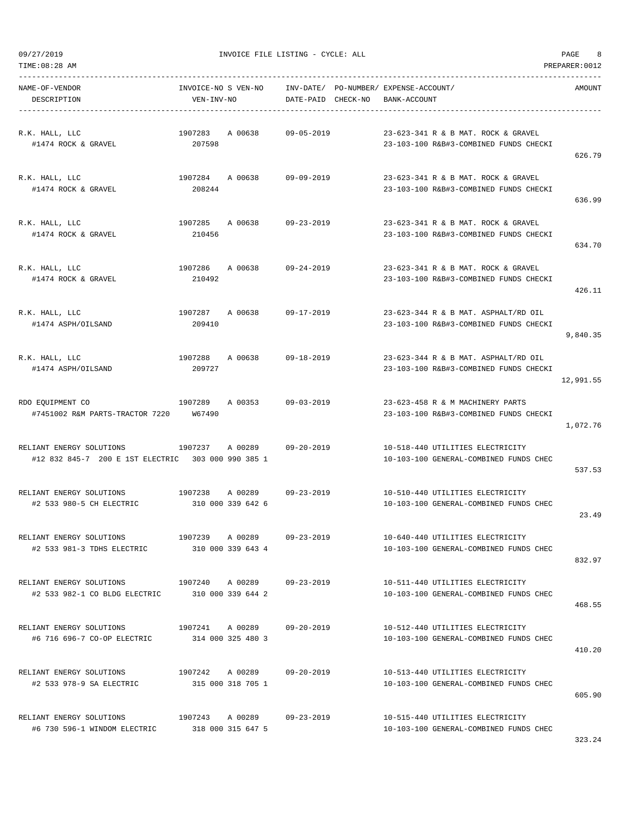09/27/2019 INVOICE FILE LISTING - CYCLE: ALL PAGE 8

----------------------------------------------------------------------------------------------------------------------------------- NAME-OF-VENDOR INVOICE-NO S VEN-NO INV-DATE/ PO-NUMBER/ EXPENSE-ACCOUNT/ AMOUNT DESCRIPTION VEN-INV-NO DATE-PAID CHECK-NO BANK-ACCOUNT ----------------------------------------------------------------------------------------------------------------------------------- R.K. HALL, LLC 1907283 A 00638 09-05-2019 23-623-341 R & B MAT. ROCK & GRAVEL #1474 ROCK & GRAVEL 207598 23-103-100 R&B#3-COMBINED FUNDS CHECKI 626.79 R.K. HALL, LLC 1907284 A 00638 09-09-2019 23-623-341 R & B MAT. ROCK & GRAVEL #1474 ROCK & GRAVEL 208244 23-103-100 R&B#3-COMBINED FUNDS CHECKI 636.99 R.K. HALL, LLC 1907285 A 00638 09-23-2019 23-623-341 R & B MAT. ROCK & GRAVEL #1474 ROCK & GRAVEL 210456 23-103-100 R&B#3-COMBINED FUNDS CHECKI 634.70 R.K. HALL, LLC 1907286 A 00638 09-24-2019 23-623-341 R & B MAT. ROCK & GRAVEL #1474 ROCK & GRAVEL 210492 23-103-100 R&B#3-COMBINED FUNDS CHECKI 426.11 R.K. HALL, LLC 1907287 A 00638 09-17-2019 23-623-344 R & B MAT. ASPHALT/RD OIL #1474 ASPH/OILSAND 209410 23-103-100 R&B#3-COMBINED FUNDS CHECKI 9,840.35 R.K. HALL, LLC 1907288 A 00638 09-18-2019 23-623-344 R & B MAT. ASPHALT/RD OIL #1474 ASPH/OILSAND 209727 23-103-100 R&B#3-COMBINED FUNDS CHECKI 12,991.55 RDO EQUIPMENT CO 1907289 A 00353 09-03-2019 23-623-458 R & M MACHINERY PARTS #7451002 R&M PARTS-TRACTOR 7220 W67490 23-103-100 R&B#3-COMBINED FUNDS CHECKI 1,072.76 RELIANT ENERGY SOLUTIONS 1907237 A 00289 09-20-2019 10-518-440 UTILITIES ELECTRICITY #12 832 845-7 200 E 1ST ELECTRIC 303 000 990 385 1 10-103-100 GENERAL-COMBINED FUNDS CHEC 537.53 RELIANT ENERGY SOLUTIONS 1907238 A 00289 09-23-2019 10-510-440 UTILITIES ELECTRICITY #2 533 980-5 CH ELECTRIC 310 000 339 642 6 10-103-100 GENERAL-COMBINED FUNDS CHEC 23.49 RELIANT ENERGY SOLUTIONS 1907239 A 00289 09-23-2019 10-640-440 UTILITIES ELECTRICITY #2 533 981-3 TDHS ELECTRIC 310 000 339 643 4 10-103-100 GENERAL-COMBINED FUNDS CHEC 832.97 RELIANT ENERGY SOLUTIONS 1907240 A 00289 09-23-2019 10-511-440 UTILITIES ELECTRICITY #2 533 982-1 CO BLDG ELECTRIC 310 000 339 644 2 10-103-100 GENERAL-COMBINED FUNDS CHEC 468.55 RELIANT ENERGY SOLUTIONS 1907241 A 00289 09-20-2019 10-512-440 UTILITIES ELECTRICITY #6 716 696-7 CO-OP ELECTRIC 314 000 325 480 3 10-103-100 GENERAL-COMBINED FUNDS CHEC 410.20 RELIANT ENERGY SOLUTIONS 1907242 A 00289 09-20-2019 10-513-440 UTILITIES ELECTRICITY #2 533 978-9 SA ELECTRIC 315 000 318 705 1 10-103-100 GENERAL-COMBINED FUNDS CHEC 605.90 RELIANT ENERGY SOLUTIONS 1907243 A 00289 09-23-2019 10-515-440 UTILITIES ELECTRICITY #6 730 596-1 WINDOM ELECTRIC 318 000 315 647 5 10-103-100 GENERAL-COMBINED FUNDS CHEC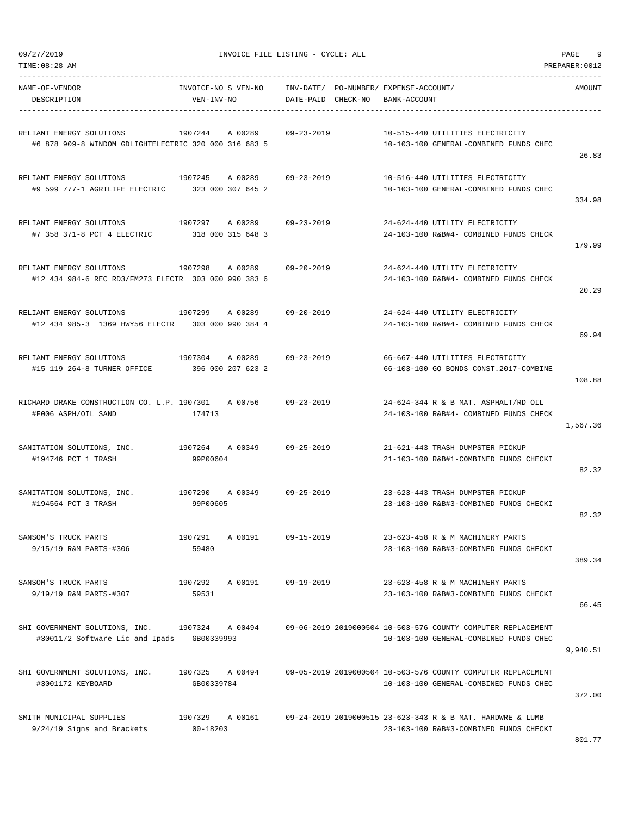| NAME-OF-VENDOR<br>DESCRIPTION                                                                                             | VEN-INV-NO                         | INVOICE-NO S VEN-NO INV-DATE/ PO-NUMBER/ EXPENSE-ACCOUNT/ | DATE-PAID CHECK-NO BANK-ACCOUNT |                                                                                                        | AMOUNT   |
|---------------------------------------------------------------------------------------------------------------------------|------------------------------------|-----------------------------------------------------------|---------------------------------|--------------------------------------------------------------------------------------------------------|----------|
| RELIANT ENERGY SOLUTIONS        1907244   A 00289     09-23-2019<br>#6 878 909-8 WINDOM GDLIGHTELECTRIC 320 000 316 683 5 |                                    |                                                           |                                 | 10-515-440 UTILITIES ELECTRICITY<br>10-103-100 GENERAL-COMBINED FUNDS CHEC                             | 26.83    |
| RELIANT ENERGY SOLUTIONS<br>#9 599 777-1 AGRILIFE ELECTRIC 323 000 307 645 2                                              |                                    | 1907245 A 00289 09-23-2019                                |                                 | 10-516-440 UTILITIES ELECTRICITY<br>10-103-100 GENERAL-COMBINED FUNDS CHEC                             | 334.98   |
| RELIANT ENERGY SOLUTIONS  1907297  A 00289  09-23-2019<br>#7 358 371-8 PCT 4 ELECTRIC                                     | 318 000 315 648 3                  |                                                           |                                 | 24-624-440 UTILITY ELECTRICITY<br>24-103-100 R&B#4- COMBINED FUNDS CHECK                               | 179.99   |
| RELIANT ENERGY SOLUTIONS        1907298   A 00289     09-20-2019<br>#12 434 984-6 REC RD3/FM273 ELECTR 303 000 990 383 6  |                                    |                                                           |                                 | 24-624-440 UTILITY ELECTRICITY<br>24-103-100 R&B#4- COMBINED FUNDS CHECK                               | 20.29    |
| RELIANT ENERGY SOLUTIONS        1907299   A 00289    09-20-2019<br>#12 434 985-3 1369 HWY56 ELECTR 303 000 990 384 4      |                                    |                                                           |                                 | 24-624-440 UTILITY ELECTRICITY<br>24-103-100 R&B#4- COMBINED FUNDS CHECK                               | 69.94    |
| #15 119 264-8 TURNER OFFICE                                                                                               | 396 000 207 623 2                  |                                                           |                                 | 66-667-440 UTILITIES ELECTRICITY<br>66-103-100 GO BONDS CONST.2017-COMBINE                             | 108.88   |
| RICHARD DRAKE CONSTRUCTION CO. L.P. 1907301     A 00756      09-23-2019<br>#F006 ASPH/OIL SAND                            | 174713                             |                                                           |                                 | 24-624-344 R & B MAT. ASPHALT/RD OIL<br>24-103-100 R&B#4- COMBINED FUNDS CHECK                         | 1,567.36 |
| SANITATION SOLUTIONS, INC. 1907264 A 00349 09-25-2019<br>#194746 PCT 1 TRASH                                              | 99P00604                           |                                                           |                                 | 21-621-443 TRASH DUMPSTER PICKUP<br>21-103-100 R&B#1-COMBINED FUNDS CHECKI                             | 82.32    |
| SANITATION SOLUTIONS, INC.<br>#194564 PCT 3 TRASH                                                                         | 99P00605                           | 1907290 A 00349 09-25-2019                                |                                 | 23-623-443 TRASH DUMPSTER PICKUP<br>23-103-100 R&B#3-COMBINED FUNDS CHECKI                             | 82.32    |
| SANSOM'S TRUCK PARTS<br>9/15/19 R&M PARTS-#306                                                                            | 1907291<br>A 00191<br>59480        | 09-15-2019                                                |                                 | 23-623-458 R & M MACHINERY PARTS<br>23-103-100 R&B#3-COMBINED FUNDS CHECKI                             | 389.34   |
| SANSOM'S TRUCK PARTS<br>9/19/19 R&M PARTS-#307                                                                            | 1907292<br>A 00191<br>59531        | 09-19-2019                                                |                                 | 23-623-458 R & M MACHINERY PARTS<br>23-103-100 R&B#3-COMBINED FUNDS CHECKI                             | 66.45    |
| SHI GOVERNMENT SOLUTIONS, INC.<br>#3001172 Software Lic and Ipads                                                         | 1907324<br>A 00494<br>GB00339993   |                                                           |                                 | 09-06-2019 2019000504 10-503-576 COUNTY COMPUTER REPLACEMENT<br>10-103-100 GENERAL-COMBINED FUNDS CHEC | 9,940.51 |
| SHI GOVERNMENT SOLUTIONS, INC.<br>#3001172 KEYBOARD                                                                       | 1907325 A 00494<br>GB00339784      |                                                           |                                 | 09-05-2019 2019000504 10-503-576 COUNTY COMPUTER REPLACEMENT<br>10-103-100 GENERAL-COMBINED FUNDS CHEC | 372.00   |
| SMITH MUNICIPAL SUPPLIES<br>9/24/19 Signs and Brackets                                                                    | 1907329<br>A 00161<br>$00 - 18203$ |                                                           |                                 | 09-24-2019 2019000515 23-623-343 R & B MAT. HARDWRE & LUMB<br>23-103-100 R&B#3-COMBINED FUNDS CHECKI   |          |

801.77

## 09/27/2019 INVOICE FILE LISTING - CYCLE: ALL PAGE 9

## TIME:08:28 AM PREPARER:0012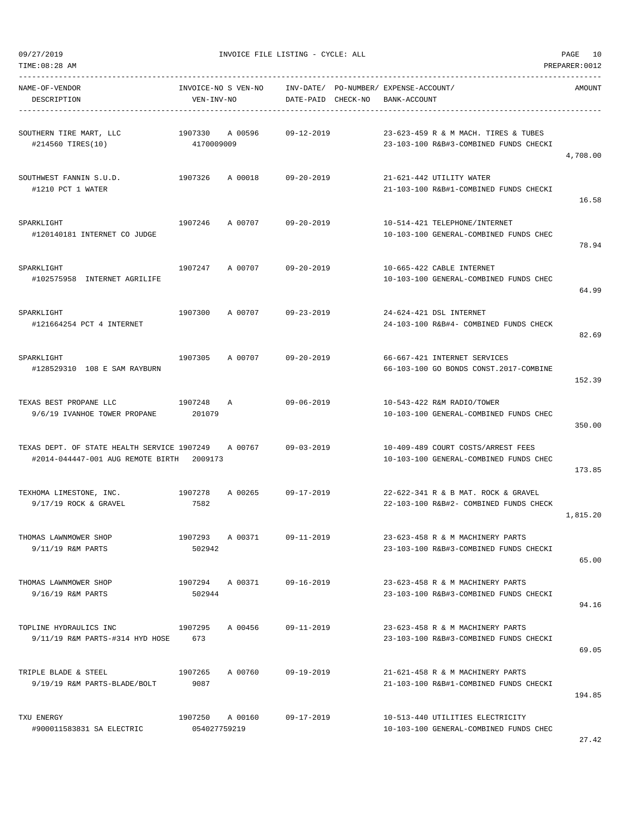| TIME:08:28 AM<br>PREPARER: 0012                                                                  |                                   |         |                    |  |                                                       |                                                                                |          |  |
|--------------------------------------------------------------------------------------------------|-----------------------------------|---------|--------------------|--|-------------------------------------------------------|--------------------------------------------------------------------------------|----------|--|
| NAME-OF-VENDOR<br>DESCRIPTION                                                                    | INVOICE-NO S VEN-NO<br>VEN-INV-NO |         | DATE-PAID CHECK-NO |  | INV-DATE/ PO-NUMBER/ EXPENSE-ACCOUNT/<br>BANK-ACCOUNT |                                                                                | AMOUNT   |  |
| SOUTHERN TIRE MART, LLC<br>#214560 TIRES(10)                                                     | 1907330<br>4170009009             | A 00596 | 09-12-2019         |  |                                                       | 23-623-459 R & M MACH. TIRES & TUBES<br>23-103-100 R&B#3-COMBINED FUNDS CHECKI | 4,708.00 |  |
| SOUTHWEST FANNIN S.U.D.<br>#1210 PCT 1 WATER                                                     | 1907326                           | A 00018 | 09-20-2019         |  |                                                       | 21-621-442 UTILITY WATER<br>21-103-100 R&B#1-COMBINED FUNDS CHECKI             | 16.58    |  |
| SPARKLIGHT<br>#120140181 INTERNET CO JUDGE                                                       | 1907246                           | A 00707 | 09-20-2019         |  |                                                       | 10-514-421 TELEPHONE/INTERNET<br>10-103-100 GENERAL-COMBINED FUNDS CHEC        | 78.94    |  |
| SPARKLIGHT<br>#102575958 INTERNET AGRILIFE                                                       | 1907247                           | A 00707 | 09-20-2019         |  |                                                       | 10-665-422 CABLE INTERNET<br>10-103-100 GENERAL-COMBINED FUNDS CHEC            | 64.99    |  |
| SPARKLIGHT<br>#121664254 PCT 4 INTERNET                                                          | 1907300                           | A 00707 | $09 - 23 - 2019$   |  |                                                       | 24-624-421 DSL INTERNET<br>24-103-100 R&B#4- COMBINED FUNDS CHECK              | 82.69    |  |
| SPARKLIGHT<br>#128529310 108 E SAM RAYBURN                                                       | 1907305                           | A 00707 | 09-20-2019         |  |                                                       | 66-667-421 INTERNET SERVICES<br>66-103-100 GO BONDS CONST.2017-COMBINE         | 152.39   |  |
| TEXAS BEST PROPANE LLC<br>9/6/19 IVANHOE TOWER PROPANE                                           | 1907248<br>201079                 | A       | $09 - 06 - 2019$   |  |                                                       | 10-543-422 R&M RADIO/TOWER<br>10-103-100 GENERAL-COMBINED FUNDS CHEC           | 350.00   |  |
| TEXAS DEPT. OF STATE HEALTH SERVICE 1907249 A 00767<br>#2014-044447-001 AUG REMOTE BIRTH 2009173 |                                   |         | $09 - 03 - 2019$   |  |                                                       | 10-409-489 COURT COSTS/ARREST FEES<br>10-103-100 GENERAL-COMBINED FUNDS CHEC   | 173.85   |  |
| TEXHOMA LIMESTONE, INC.<br>9/17/19 ROCK & GRAVEL                                                 | 1907278<br>7582                   | A 00265 | 09-17-2019         |  |                                                       | 22-622-341 R & B MAT. ROCK & GRAVEL<br>22-103-100 R&B#2- COMBINED FUNDS CHECK  | 1,815.20 |  |
| THOMAS LAWNMOWER SHOP<br>9/11/19 R&M PARTS                                                       | 1907293 A 00371<br>502942         |         | $09 - 11 - 2019$   |  |                                                       | 23-623-458 R & M MACHINERY PARTS<br>23-103-100 R&B#3-COMBINED FUNDS CHECKI     | 65.00    |  |
| THOMAS LAWNMOWER SHOP<br>9/16/19 R&M PARTS                                                       | 1907294 A 00371<br>502944         |         | 09-16-2019         |  |                                                       | 23-623-458 R & M MACHINERY PARTS<br>23-103-100 R&B#3-COMBINED FUNDS CHECKI     | 94.16    |  |
| TOPLINE HYDRAULICS INC<br>9/11/19 R&M PARTS-#314 HYD HOSE                                        | 1907295<br>673                    | A 00456 | $09 - 11 - 2019$   |  |                                                       | 23-623-458 R & M MACHINERY PARTS<br>23-103-100 R&B#3-COMBINED FUNDS CHECKI     | 69.05    |  |
| TRIPLE BLADE & STEEL<br>9/19/19 R&M PARTS-BLADE/BOLT                                             | 1907265<br>9087                   | A 00760 | $09 - 19 - 2019$   |  |                                                       | 21-621-458 R & M MACHINERY PARTS<br>21-103-100 R&B#1-COMBINED FUNDS CHECKI     | 194.85   |  |
| TXU ENERGY<br>#900011583831 SA ELECTRIC                                                          | 1907250 A 00160<br>054027759219   |         | 09-17-2019         |  |                                                       | 10-513-440 UTILITIES ELECTRICITY<br>10-103-100 GENERAL-COMBINED FUNDS CHEC     |          |  |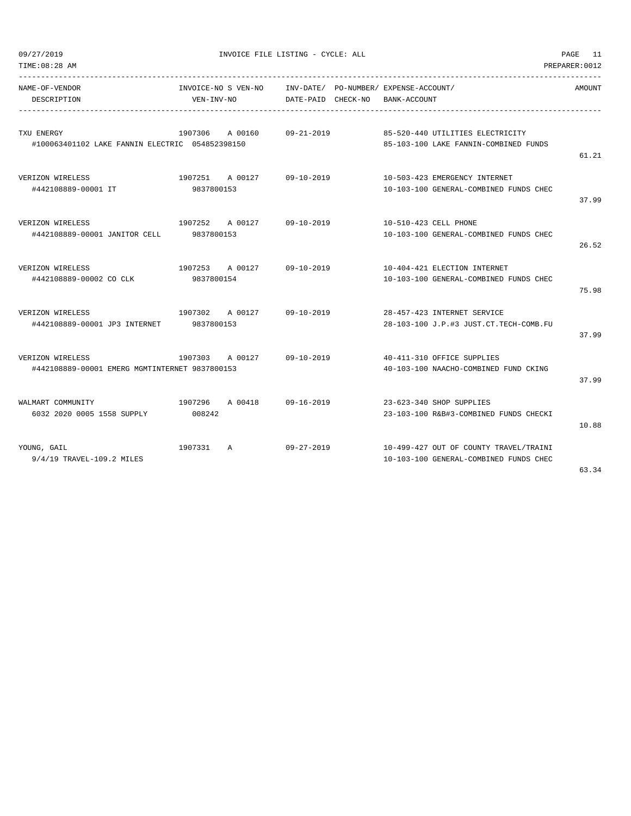| TIME:08:28 AM                                                                   |                   |                            |                    |                                                                                  | PREPARER: 0012 |
|---------------------------------------------------------------------------------|-------------------|----------------------------|--------------------|----------------------------------------------------------------------------------|----------------|
| NAME-OF-VENDOR<br>DESCRIPTION                                                   | VEN-INV-NO        | INVOICE-NO S VEN-NO        | DATE-PAID CHECK-NO | INV-DATE/ PO-NUMBER/ EXPENSE-ACCOUNT/<br>BANK-ACCOUNT                            | AMOUNT         |
| TXU ENERGY<br>#100063401102 LAKE FANNIN ELECTRIC 054852398150                   | 1907306 A 00160   |                            | 09-21-2019         | 85-520-440 UTILITIES ELECTRICITY<br>85-103-100 LAKE FANNIN-COMBINED FUNDS        | 61.21          |
| VERIZON WIRELESS<br>#442108889-00001 IT                                         | 9837800153        | 1907251 A 00127            | 09-10-2019         | 10-503-423 EMERGENCY INTERNET<br>10-103-100 GENERAL-COMBINED FUNDS CHEC          | 37.99          |
| VERIZON WIRELESS<br>#442108889-00001 JANITOR CELL 9837800153                    |                   | 1907252 A 00127            | 09-10-2019         | 10-510-423 CELL PHONE<br>10-103-100 GENERAL-COMBINED FUNDS CHEC                  | 26.52          |
| VERIZON WIRELESS<br>#442108889-00002 CO CLK                                     | 9837800154        | 1907253 A 00127 09-10-2019 |                    | 10-404-421 ELECTION INTERNET<br>10-103-100 GENERAL-COMBINED FUNDS CHEC           | 75.98          |
| 1907302 A 00127<br>VERIZON WIRELESS<br>#442108889-00001 JP3 INTERNET 9837800153 |                   |                            | $09 - 10 - 2019$   | 28-457-423 INTERNET SERVICE<br>28-103-100 J.P.#3 JUST.CT.TECH-COMB.FU            | 37.99          |
| VERIZON WIRELESS<br>#442108889-00001 EMERG MGMTINTERNET 9837800153              |                   | 1907303 A 00127            | $09 - 10 - 2019$   | 40-411-310 OFFICE SUPPLIES<br>40-103-100 NAACHO-COMBINED FUND CKING              | 37.99          |
| WALMART COMMUNITY<br>6032 2020 0005 1558 SUPPLY                                 | 1907296<br>008242 | A 00418 09-16-2019         |                    | 23-623-340 SHOP SUPPLIES<br>23-103-100 R&B#3-COMBINED FUNDS CHECKI               | 10.88          |
| YOUNG, GAIL<br>9/4/19 TRAVEL-109.2 MILES                                        | 1907331           | $\mathbb{A}$               | 09-27-2019         | 10-499-427 OUT OF COUNTY TRAVEL/TRAINI<br>10-103-100 GENERAL-COMBINED FUNDS CHEC | 63.34          |